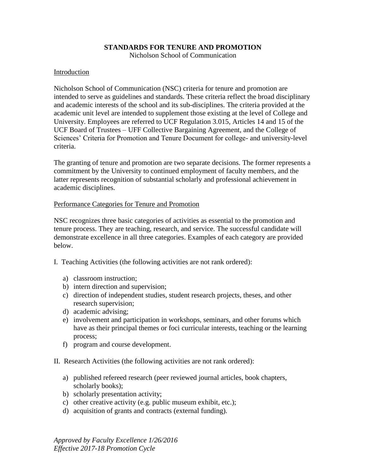# **STANDARDS FOR TENURE AND PROMOTION**

Nicholson School of Communication

# Introduction

Nicholson School of Communication (NSC) criteria for tenure and promotion are intended to serve as guidelines and standards. These criteria reflect the broad disciplinary and academic interests of the school and its sub-disciplines. The criteria provided at the academic unit level are intended to supplement those existing at the level of College and University. Employees are referred to UCF Regulation 3.015, Articles 14 and 15 of the UCF Board of Trustees – UFF Collective Bargaining Agreement, and the College of Sciences' Criteria for Promotion and Tenure Document for college- and university-level criteria.

The granting of tenure and promotion are two separate decisions. The former represents a commitment by the University to continued employment of faculty members, and the latter represents recognition of substantial scholarly and professional achievement in academic disciplines.

### Performance Categories for Tenure and Promotion

NSC recognizes three basic categories of activities as essential to the promotion and tenure process. They are teaching, research, and service. The successful candidate will demonstrate excellence in all three categories. Examples of each category are provided below.

- I. Teaching Activities (the following activities are not rank ordered):
	- a) classroom instruction;
	- b) intern direction and supervision;
	- c) direction of independent studies, student research projects, theses, and other research supervision;
	- d) academic advising;
	- e) involvement and participation in workshops, seminars, and other forums which have as their principal themes or foci curricular interests, teaching or the learning process;
	- f) program and course development.
- II. Research Activities (the following activities are not rank ordered):
	- a) published refereed research (peer reviewed journal articles, book chapters, scholarly books);
	- b) scholarly presentation activity;
	- c) other creative activity (e.g. public museum exhibit, etc.);
	- d) acquisition of grants and contracts (external funding).

*Approved by Faculty Excellence 1/26/2016 Effective 2017-18 Promotion Cycle*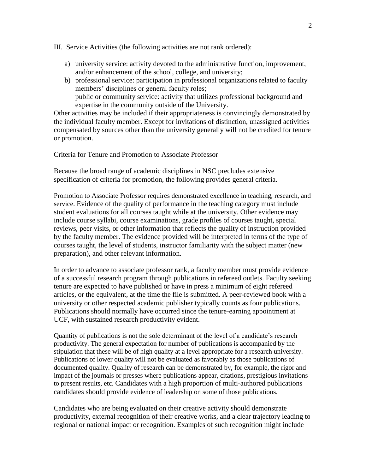#### III. Service Activities (the following activities are not rank ordered):

- a) university service: activity devoted to the administrative function, improvement, and/or enhancement of the school, college, and university;
- b) professional service: participation in professional organizations related to faculty members' disciplines or general faculty roles; public or community service: activity that utilizes professional background and expertise in the community outside of the University.

Other activities may be included if their appropriateness is convincingly demonstrated by the individual faculty member. Except for invitations of distinction, unassigned activities compensated by sources other than the university generally will not be credited for tenure or promotion.

### Criteria for Tenure and Promotion to Associate Professor

Because the broad range of academic disciplines in NSC precludes extensive specification of criteria for promotion, the following provides general criteria.

Promotion to Associate Professor requires demonstrated excellence in teaching, research, and service. Evidence of the quality of performance in the teaching category must include student evaluations for all courses taught while at the university. Other evidence may include course syllabi, course examinations, grade profiles of courses taught, special reviews, peer visits, or other information that reflects the quality of instruction provided by the faculty member. The evidence provided will be interpreted in terms of the type of courses taught, the level of students, instructor familiarity with the subject matter (new preparation), and other relevant information.

In order to advance to associate professor rank, a faculty member must provide evidence of a successful research program through publications in refereed outlets. Faculty seeking tenure are expected to have published or have in press a minimum of eight refereed articles, or the equivalent, at the time the file is submitted. A peer-reviewed book with a university or other respected academic publisher typically counts as four publications. Publications should normally have occurred since the tenure-earning appointment at UCF, with sustained research productivity evident.

Quantity of publications is not the sole determinant of the level of a candidate's research productivity. The general expectation for number of publications is accompanied by the stipulation that these will be of high quality at a level appropriate for a research university. Publications of lower quality will not be evaluated as favorably as those publications of documented quality. Quality of research can be demonstrated by, for example, the rigor and impact of the journals or presses where publications appear, citations, prestigious invitations to present results, etc. Candidates with a high proportion of multi-authored publications candidates should provide evidence of leadership on some of those publications.

Candidates who are being evaluated on their creative activity should demonstrate productivity, external recognition of their creative works, and a clear trajectory leading to regional or national impact or recognition. Examples of such recognition might include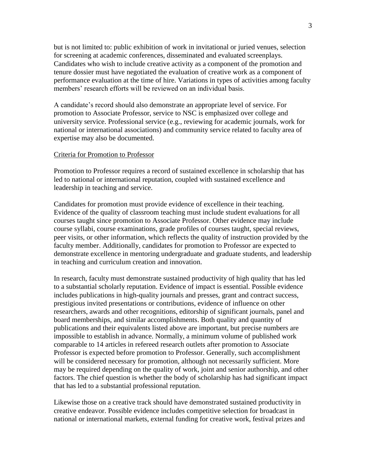but is not limited to: public exhibition of work in invitational or juried venues, selection for screening at academic conferences, disseminated and evaluated screenplays. Candidates who wish to include creative activity as a component of the promotion and tenure dossier must have negotiated the evaluation of creative work as a component of performance evaluation at the time of hire. Variations in types of activities among faculty members' research efforts will be reviewed on an individual basis.

A candidate's record should also demonstrate an appropriate level of service. For promotion to Associate Professor, service to NSC is emphasized over college and university service. Professional service (e.g., reviewing for academic journals, work for national or international associations) and community service related to faculty area of expertise may also be documented.

#### Criteria for Promotion to Professor

Promotion to Professor requires a record of sustained excellence in scholarship that has led to national or international reputation, coupled with sustained excellence and leadership in teaching and service.

Candidates for promotion must provide evidence of excellence in their teaching. Evidence of the quality of classroom teaching must include student evaluations for all courses taught since promotion to Associate Professor. Other evidence may include course syllabi, course examinations, grade profiles of courses taught, special reviews, peer visits, or other information, which reflects the quality of instruction provided by the faculty member. Additionally, candidates for promotion to Professor are expected to demonstrate excellence in mentoring undergraduate and graduate students, and leadership in teaching and curriculum creation and innovation.

In research, faculty must demonstrate sustained productivity of high quality that has led to a substantial scholarly reputation. Evidence of impact is essential. Possible evidence includes publications in high-quality journals and presses, grant and contract success, prestigious invited presentations or contributions, evidence of influence on other researchers, awards and other recognitions, editorship of significant journals, panel and board memberships, and similar accomplishments. Both quality and quantity of publications and their equivalents listed above are important, but precise numbers are impossible to establish in advance. Normally, a minimum volume of published work comparable to 14 articles in refereed research outlets after promotion to Associate Professor is expected before promotion to Professor. Generally, such accomplishment will be considered necessary for promotion, although not necessarily sufficient. More may be required depending on the quality of work, joint and senior authorship, and other factors. The chief question is whether the body of scholarship has had significant impact that has led to a substantial professional reputation.

Likewise those on a creative track should have demonstrated sustained productivity in creative endeavor. Possible evidence includes competitive selection for broadcast in national or international markets, external funding for creative work, festival prizes and